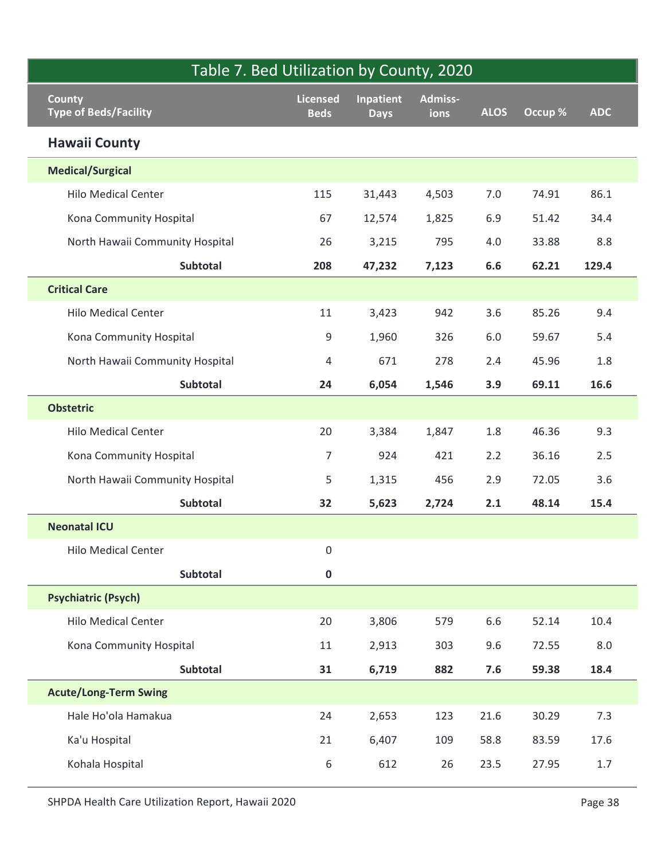| Table 7. Bed Utilization by County, 2020          |                                |                          |                        |             |         |            |
|---------------------------------------------------|--------------------------------|--------------------------|------------------------|-------------|---------|------------|
| <b>County</b><br><b>Type of Beds/Facility</b>     | <b>Licensed</b><br><b>Beds</b> | Inpatient<br><b>Days</b> | <b>Admiss-</b><br>ions | <b>ALOS</b> | Occup % | <b>ADC</b> |
| <b>Hawaii County</b>                              |                                |                          |                        |             |         |            |
| <b>Medical/Surgical</b>                           |                                |                          |                        |             |         |            |
| <b>Hilo Medical Center</b>                        | 115                            | 31,443                   | 4,503                  | 7.0         | 74.91   | 86.1       |
| Kona Community Hospital                           | 67                             | 12,574                   | 1,825                  | 6.9         | 51.42   | 34.4       |
| North Hawaii Community Hospital                   | 26                             | 3,215                    | 795                    | 4.0         | 33.88   | 8.8        |
| Subtotal                                          | 208                            | 47,232                   | 7,123                  | 6.6         | 62.21   | 129.4      |
| <b>Critical Care</b>                              |                                |                          |                        |             |         |            |
| <b>Hilo Medical Center</b>                        | 11                             | 3,423                    | 942                    | 3.6         | 85.26   | 9.4        |
| Kona Community Hospital                           | 9                              | 1,960                    | 326                    | 6.0         | 59.67   | 5.4        |
| North Hawaii Community Hospital                   | 4                              | 671                      | 278                    | 2.4         | 45.96   | $1.8\,$    |
| Subtotal                                          | 24                             | 6,054                    | 1,546                  | 3.9         | 69.11   | 16.6       |
| <b>Obstetric</b>                                  |                                |                          |                        |             |         |            |
| <b>Hilo Medical Center</b>                        | 20                             | 3,384                    | 1,847                  | $1.8\,$     | 46.36   | 9.3        |
| Kona Community Hospital                           | $\overline{7}$                 | 924                      | 421                    | 2.2         | 36.16   | $2.5\,$    |
| North Hawaii Community Hospital                   | 5                              | 1,315                    | 456                    | 2.9         | 72.05   | 3.6        |
| Subtotal                                          | 32                             | 5,623                    | 2,724                  | 2.1         | 48.14   | 15.4       |
| <b>Neonatal ICU</b>                               |                                |                          |                        |             |         |            |
| <b>Hilo Medical Center</b>                        | $\boldsymbol{0}$               |                          |                        |             |         |            |
| Subtotal                                          | $\mathbf 0$                    |                          |                        |             |         |            |
| <b>Psychiatric (Psych)</b>                        |                                |                          |                        |             |         |            |
| <b>Hilo Medical Center</b>                        | 20                             | 3,806                    | 579                    | 6.6         | 52.14   | 10.4       |
| Kona Community Hospital                           | 11                             | 2,913                    | 303                    | 9.6         | 72.55   | $8.0\,$    |
| Subtotal                                          | 31                             | 6,719                    | 882                    | 7.6         | 59.38   | 18.4       |
| <b>Acute/Long-Term Swing</b>                      |                                |                          |                        |             |         |            |
| Hale Ho'ola Hamakua                               | 24                             | 2,653                    | 123                    | 21.6        | 30.29   | 7.3        |
| Ka'u Hospital                                     | 21                             | 6,407                    | 109                    | 58.8        | 83.59   | 17.6       |
| Kohala Hospital                                   | 6                              | 612                      | 26                     | 23.5        | 27.95   | 1.7        |
| SHPDA Health Care Utilization Report, Hawaii 2020 |                                |                          |                        |             |         | Page 38    |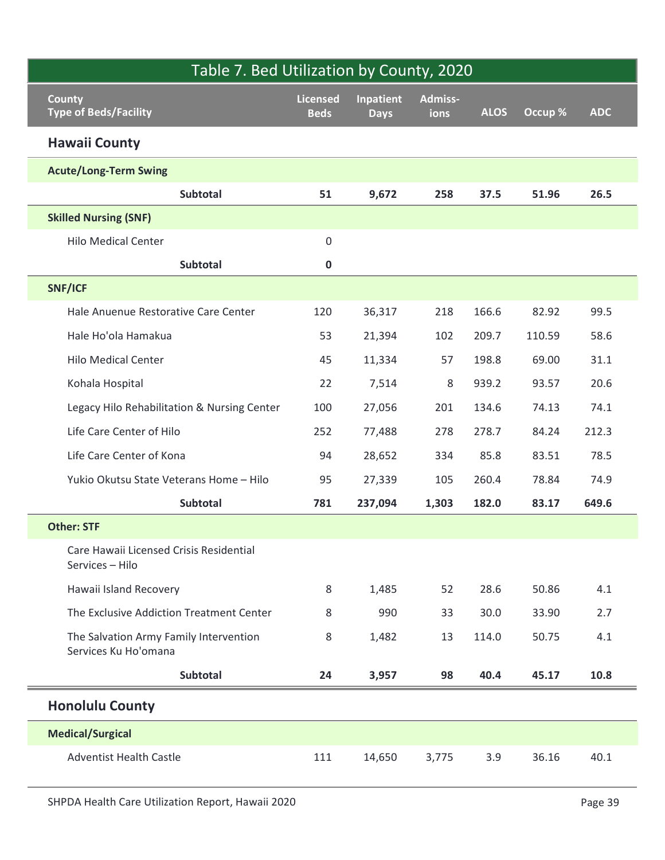| Table 7. Bed Utilization by County, 2020                       |                                |                                 |                 |             |         |            |
|----------------------------------------------------------------|--------------------------------|---------------------------------|-----------------|-------------|---------|------------|
| <b>County</b><br><b>Type of Beds/Facility</b>                  | <b>Licensed</b><br><b>Beds</b> | <b>Inpatient</b><br><b>Days</b> | Admiss-<br>ions | <b>ALOS</b> | Occup % | <b>ADC</b> |
| <b>Hawaii County</b>                                           |                                |                                 |                 |             |         |            |
| <b>Acute/Long-Term Swing</b>                                   |                                |                                 |                 |             |         |            |
| <b>Subtotal</b>                                                | 51                             | 9,672                           | 258             | 37.5        | 51.96   | 26.5       |
| <b>Skilled Nursing (SNF)</b>                                   |                                |                                 |                 |             |         |            |
| <b>Hilo Medical Center</b>                                     | $\mathsf 0$                    |                                 |                 |             |         |            |
| Subtotal                                                       | $\mathbf 0$                    |                                 |                 |             |         |            |
| SNF/ICF                                                        |                                |                                 |                 |             |         |            |
| Hale Anuenue Restorative Care Center                           | 120                            | 36,317                          | 218             | 166.6       | 82.92   | 99.5       |
| Hale Ho'ola Hamakua                                            | 53                             | 21,394                          | 102             | 209.7       | 110.59  | 58.6       |
| <b>Hilo Medical Center</b>                                     | 45                             | 11,334                          | 57              | 198.8       | 69.00   | 31.1       |
| Kohala Hospital                                                | 22                             | 7,514                           | 8               | 939.2       | 93.57   | 20.6       |
| Legacy Hilo Rehabilitation & Nursing Center                    | 100                            | 27,056                          | 201             | 134.6       | 74.13   | 74.1       |
| Life Care Center of Hilo                                       | 252                            | 77,488                          | 278             | 278.7       | 84.24   | 212.3      |
| Life Care Center of Kona                                       | 94                             | 28,652                          | 334             | 85.8        | 83.51   | 78.5       |
| Yukio Okutsu State Veterans Home - Hilo                        | 95                             | 27,339                          | 105             | 260.4       | 78.84   | 74.9       |
| Subtotal                                                       | 781                            | 237,094                         | 1,303           | 182.0       | 83.17   | 649.6      |
| <b>Other: STF</b>                                              |                                |                                 |                 |             |         |            |
| Care Hawaii Licensed Crisis Residential<br>Services - Hilo     |                                |                                 |                 |             |         |            |
| Hawaii Island Recovery                                         | 8                              | 1,485                           | 52              | 28.6        | 50.86   | 4.1        |
| The Exclusive Addiction Treatment Center                       | 8                              | 990                             | 33              | 30.0        | 33.90   | 2.7        |
| The Salvation Army Family Intervention<br>Services Ku Ho'omana | 8                              | 1,482                           | 13              | 114.0       | 50.75   | 4.1        |
| Subtotal                                                       | 24                             | 3,957                           | 98              | 40.4        | 45.17   | 10.8       |
| <b>Honolulu County</b>                                         |                                |                                 |                 |             |         |            |
| <b>Medical/Surgical</b>                                        |                                |                                 |                 |             |         |            |
| <b>Adventist Health Castle</b>                                 | 111                            | 14,650                          | 3,775           | 3.9         | 36.16   | 40.1       |
| SHPDA Health Care Utilization Report, Hawaii 2020              |                                |                                 |                 |             |         | Page 39    |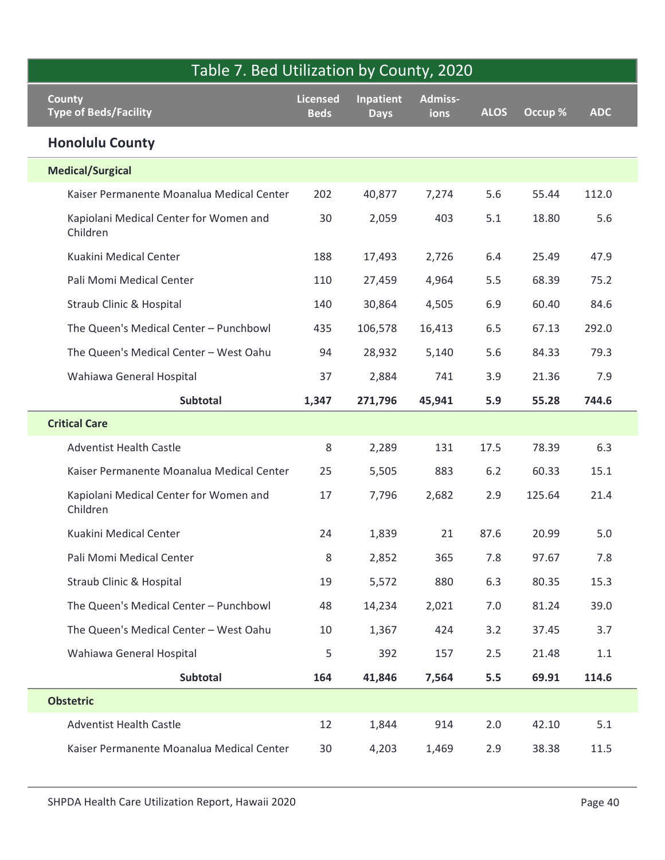| Table 7. Bed Utilization by County, 2020           |                                |                                 |                 |             |         |            |
|----------------------------------------------------|--------------------------------|---------------------------------|-----------------|-------------|---------|------------|
| <b>County</b><br><b>Type of Beds/Facility</b>      | <b>Licensed</b><br><b>Beds</b> | <b>Inpatient</b><br><b>Days</b> | Admiss-<br>ions | <b>ALOS</b> | Occup % | <b>ADC</b> |
| <b>Honolulu County</b>                             |                                |                                 |                 |             |         |            |
| <b>Medical/Surgical</b>                            |                                |                                 |                 |             |         |            |
| Kaiser Permanente Moanalua Medical Center          | 202                            | 40,877                          | 7,274           | 5.6         | 55.44   | 112.0      |
| Kapiolani Medical Center for Women and<br>Children | 30                             | 2,059                           | 403             | 5.1         | 18.80   | 5.6        |
| Kuakini Medical Center                             | 188                            | 17,493                          | 2,726           | 6.4         | 25.49   | 47.9       |
| Pali Momi Medical Center                           | 110                            | 27,459                          | 4,964           | 5.5         | 68.39   | 75.2       |
| Straub Clinic & Hospital                           | 140                            | 30,864                          | 4,505           | 6.9         | 60.40   | 84.6       |
| The Queen's Medical Center - Punchbowl             | 435                            | 106,578                         | 16,413          | 6.5         | 67.13   | 292.0      |
| The Queen's Medical Center - West Oahu             | 94                             | 28,932                          | 5,140           | 5.6         | 84.33   | 79.3       |
| Wahiawa General Hospital                           | 37                             | 2,884                           | 741             | 3.9         | 21.36   | 7.9        |
| <b>Subtotal</b>                                    | 1,347                          | 271,796                         | 45,941          | 5.9         | 55.28   | 744.6      |
| <b>Critical Care</b>                               |                                |                                 |                 |             |         |            |
| <b>Adventist Health Castle</b>                     | 8                              | 2,289                           | 131             | 17.5        | 78.39   | 6.3        |
| Kaiser Permanente Moanalua Medical Center          | 25                             | 5,505                           | 883             | $6.2$       | 60.33   | 15.1       |
| Kapiolani Medical Center for Women and<br>Children | 17                             | 7,796                           | 2,682           | 2.9         | 125.64  | 21.4       |
| Kuakini Medical Center                             | 24                             | 1,839                           | 21              | 87.6        | 20.99   | $5.0$      |
| Pali Momi Medical Center                           | 8                              | 2,852                           | 365             | 7.8         | 97.67   | 7.8        |
| Straub Clinic & Hospital                           | 19                             | 5,572                           | 880             | 6.3         | 80.35   | 15.3       |
| The Queen's Medical Center - Punchbowl             | 48                             | 14,234                          | 2,021           | 7.0         | 81.24   | 39.0       |
| The Queen's Medical Center - West Oahu             | 10                             | 1,367                           | 424             | 3.2         | 37.45   | 3.7        |
| Wahiawa General Hospital                           | 5                              | 392                             | 157             | 2.5         | 21.48   | 1.1        |
| Subtotal                                           | 164                            | 41,846                          | 7,564           | 5.5         | 69.91   | 114.6      |
| <b>Obstetric</b>                                   |                                |                                 |                 |             |         |            |
| <b>Adventist Health Castle</b>                     | 12                             | 1,844                           | 914             | 2.0         | 42.10   | 5.1        |
| Kaiser Permanente Moanalua Medical Center          | 30                             | 4,203                           | 1,469           | 2.9         | 38.38   | 11.5       |
| SHPDA Health Care Utilization Report, Hawaii 2020  |                                |                                 |                 |             |         | Page 40    |

 $\overline{\phantom{a}}$ I.

Ī

Ī

Ī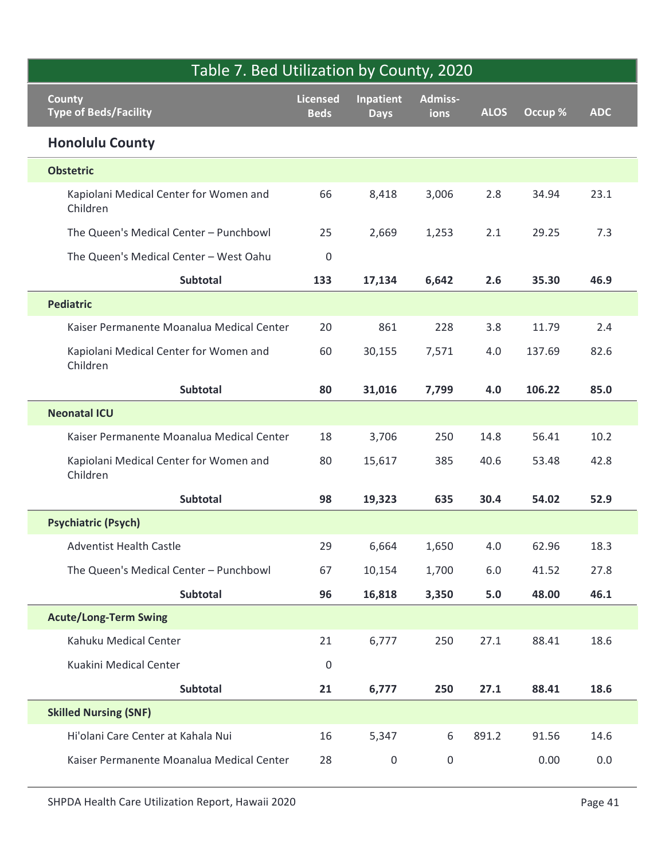| Table 7. Bed Utilization by County, 2020           |                                |                          |                 |             |         |            |
|----------------------------------------------------|--------------------------------|--------------------------|-----------------|-------------|---------|------------|
| <b>County</b><br><b>Type of Beds/Facility</b>      | <b>Licensed</b><br><b>Beds</b> | Inpatient<br><b>Days</b> | Admiss-<br>ions | <b>ALOS</b> | Occup % | <b>ADC</b> |
| <b>Honolulu County</b>                             |                                |                          |                 |             |         |            |
| <b>Obstetric</b>                                   |                                |                          |                 |             |         |            |
| Kapiolani Medical Center for Women and<br>Children | 66                             | 8,418                    | 3,006           | 2.8         | 34.94   | 23.1       |
| The Queen's Medical Center - Punchbowl             | 25                             | 2,669                    | 1,253           | 2.1         | 29.25   | 7.3        |
| The Queen's Medical Center - West Oahu             | $\pmb{0}$                      |                          |                 |             |         |            |
| Subtotal                                           | 133                            | 17,134                   | 6,642           | 2.6         | 35.30   | 46.9       |
| <b>Pediatric</b>                                   |                                |                          |                 |             |         |            |
| Kaiser Permanente Moanalua Medical Center          | 20                             | 861                      | 228             | 3.8         | 11.79   | 2.4        |
| Kapiolani Medical Center for Women and<br>Children | 60                             | 30,155                   | 7,571           | 4.0         | 137.69  | 82.6       |
| Subtotal                                           | 80                             | 31,016                   | 7,799           | 4.0         | 106.22  | 85.0       |
| <b>Neonatal ICU</b>                                |                                |                          |                 |             |         |            |
| Kaiser Permanente Moanalua Medical Center          | 18                             | 3,706                    | 250             | 14.8        | 56.41   | 10.2       |
| Kapiolani Medical Center for Women and<br>Children | 80                             | 15,617                   | 385             | 40.6        | 53.48   | 42.8       |
| Subtotal                                           | 98                             | 19,323                   | 635             | 30.4        | 54.02   | 52.9       |
| <b>Psychiatric (Psych)</b>                         |                                |                          |                 |             |         |            |
| Adventist Health Castle                            | 29                             | 6,664                    | 1,650           | $4.0\,$     | 62.96   | 18.3       |
| The Queen's Medical Center - Punchbowl             | 67                             | 10,154                   | 1,700           | 6.0         | 41.52   | 27.8       |
| Subtotal                                           | 96                             | 16,818                   | 3,350           | 5.0         | 48.00   | 46.1       |
| <b>Acute/Long-Term Swing</b>                       |                                |                          |                 |             |         |            |
| Kahuku Medical Center                              | 21                             | 6,777                    | 250             | 27.1        | 88.41   | 18.6       |
| Kuakini Medical Center                             | $\pmb{0}$                      |                          |                 |             |         |            |
| Subtotal                                           | 21                             | 6,777                    | 250             | 27.1        | 88.41   | 18.6       |
| <b>Skilled Nursing (SNF)</b>                       |                                |                          |                 |             |         |            |
| Hi'olani Care Center at Kahala Nui                 | 16                             | 5,347                    | 6               | 891.2       | 91.56   | 14.6       |
|                                                    |                                |                          | $\mathsf 0$     |             | 0.00    | $0.0\,$    |
| Kaiser Permanente Moanalua Medical Center          | 28                             | $\boldsymbol{0}$         |                 |             |         |            |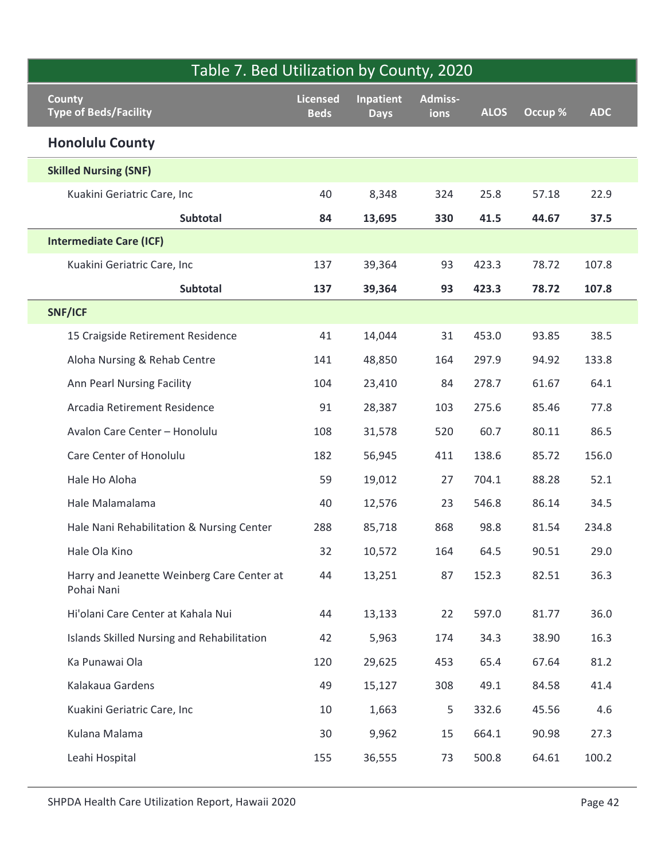|                                                          |                                |                          | Table 7. Bed Utilization by County, 2020 |             |         |            |
|----------------------------------------------------------|--------------------------------|--------------------------|------------------------------------------|-------------|---------|------------|
| <b>County</b><br><b>Type of Beds/Facility</b>            | <b>Licensed</b><br><b>Beds</b> | Inpatient<br><b>Days</b> | Admiss-<br>ions                          | <b>ALOS</b> | Occup % | <b>ADC</b> |
| <b>Honolulu County</b>                                   |                                |                          |                                          |             |         |            |
| <b>Skilled Nursing (SNF)</b>                             |                                |                          |                                          |             |         |            |
| Kuakini Geriatric Care, Inc                              | 40                             | 8,348                    | 324                                      | 25.8        | 57.18   | 22.9       |
| Subtotal                                                 | 84                             | 13,695                   | 330                                      | 41.5        | 44.67   | 37.5       |
| <b>Intermediate Care (ICF)</b>                           |                                |                          |                                          |             |         |            |
| Kuakini Geriatric Care, Inc                              | 137                            | 39,364                   | 93                                       | 423.3       | 78.72   | 107.8      |
| Subtotal                                                 | 137                            | 39,364                   | 93                                       | 423.3       | 78.72   | 107.8      |
| SNF/ICF                                                  |                                |                          |                                          |             |         |            |
| 15 Craigside Retirement Residence                        | 41                             | 14,044                   | 31                                       | 453.0       | 93.85   | 38.5       |
| Aloha Nursing & Rehab Centre                             | 141                            | 48,850                   | 164                                      | 297.9       | 94.92   | 133.8      |
| Ann Pearl Nursing Facility                               | 104                            | 23,410                   | 84                                       | 278.7       | 61.67   | 64.1       |
| Arcadia Retirement Residence                             | 91                             | 28,387                   | 103                                      | 275.6       | 85.46   | 77.8       |
| Avalon Care Center - Honolulu                            | 108                            | 31,578                   | 520                                      | 60.7        | 80.11   | 86.5       |
| Care Center of Honolulu                                  | 182                            | 56,945                   | 411                                      | 138.6       | 85.72   | 156.0      |
| Hale Ho Aloha                                            | 59                             | 19,012                   | 27                                       | 704.1       | 88.28   | 52.1       |
| Hale Malamalama                                          | 40                             | 12,576                   | 23                                       | 546.8       | 86.14   | 34.5       |
| Hale Nani Rehabilitation & Nursing Center                | 288                            | 85,718                   | 868                                      | 98.8        | 81.54   | 234.8      |
| Hale Ola Kino                                            | 32                             | 10,572                   | 164                                      | 64.5        | 90.51   | 29.0       |
| Harry and Jeanette Weinberg Care Center at<br>Pohai Nani | 44                             | 13,251                   | 87                                       | 152.3       | 82.51   | 36.3       |
| Hi'olani Care Center at Kahala Nui                       | 44                             | 13,133                   | 22                                       | 597.0       | 81.77   | 36.0       |
| Islands Skilled Nursing and Rehabilitation               | 42                             | 5,963                    | 174                                      | 34.3        | 38.90   | 16.3       |
| Ka Punawai Ola                                           | 120                            | 29,625                   | 453                                      | 65.4        | 67.64   | 81.2       |
| Kalakaua Gardens                                         | 49                             | 15,127                   | 308                                      | 49.1        | 84.58   | 41.4       |
| Kuakini Geriatric Care, Inc                              | 10                             | 1,663                    | 5                                        | 332.6       | 45.56   | 4.6        |
| Kulana Malama                                            | 30                             | 9,962                    | 15                                       | 664.1       | 90.98   | 27.3       |
| Leahi Hospital                                           | 155                            | 36,555                   | 73                                       | 500.8       | 64.61   | 100.2      |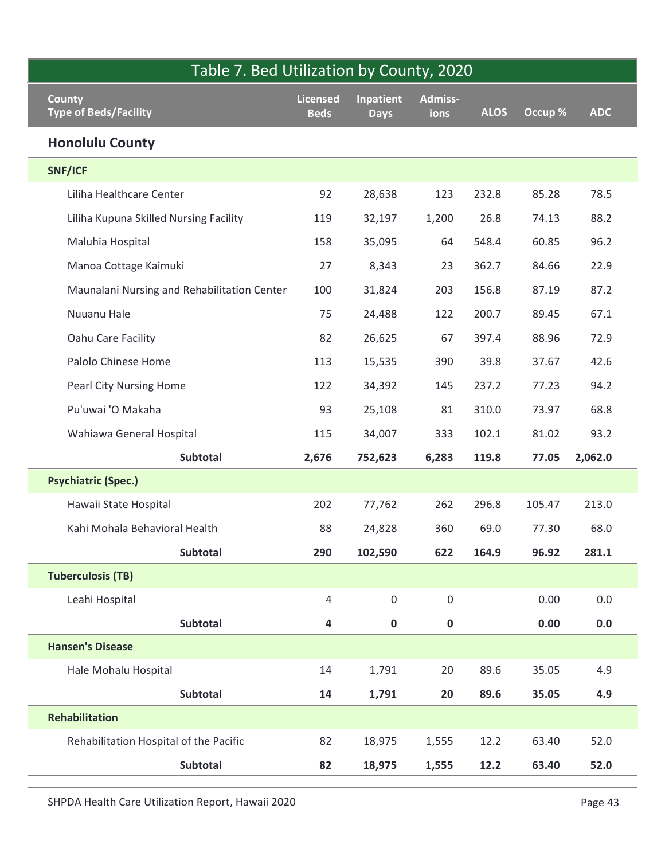| Table 7. Bed Utilization by County, 2020      |                                |                          |                 |             |         |            |
|-----------------------------------------------|--------------------------------|--------------------------|-----------------|-------------|---------|------------|
| <b>County</b><br><b>Type of Beds/Facility</b> | <b>Licensed</b><br><b>Beds</b> | Inpatient<br><b>Days</b> | Admiss-<br>ions | <b>ALOS</b> | Occup % | <b>ADC</b> |
| <b>Honolulu County</b>                        |                                |                          |                 |             |         |            |
| SNF/ICF                                       |                                |                          |                 |             |         |            |
| Liliha Healthcare Center                      | 92                             | 28,638                   | 123             | 232.8       | 85.28   | 78.5       |
| Liliha Kupuna Skilled Nursing Facility        | 119                            | 32,197                   | 1,200           | 26.8        | 74.13   | 88.2       |
| Maluhia Hospital                              | 158                            | 35,095                   | 64              | 548.4       | 60.85   | 96.2       |
| Manoa Cottage Kaimuki                         | 27                             | 8,343                    | 23              | 362.7       | 84.66   | 22.9       |
| Maunalani Nursing and Rehabilitation Center   | 100                            | 31,824                   | 203             | 156.8       | 87.19   | 87.2       |
| Nuuanu Hale                                   | 75                             | 24,488                   | 122             | 200.7       | 89.45   | 67.1       |
| Oahu Care Facility                            | 82                             | 26,625                   | 67              | 397.4       | 88.96   | 72.9       |
| Palolo Chinese Home                           | 113                            | 15,535                   | 390             | 39.8        | 37.67   | 42.6       |
| Pearl City Nursing Home                       | 122                            | 34,392                   | 145             | 237.2       | 77.23   | 94.2       |
| Pu'uwai 'O Makaha                             | 93                             | 25,108                   | 81              | 310.0       | 73.97   | 68.8       |
| Wahiawa General Hospital                      | 115                            | 34,007                   | 333             | 102.1       | 81.02   | 93.2       |
| <b>Subtotal</b>                               | 2,676                          | 752,623                  | 6,283           | 119.8       | 77.05   | 2,062.0    |
| <b>Psychiatric (Spec.)</b>                    |                                |                          |                 |             |         |            |
| Hawaii State Hospital                         | 202                            | 77,762                   | 262             | 296.8       | 105.47  | 213.0      |
| Kahi Mohala Behavioral Health                 | 88                             | 24,828                   | 360             | 69.0        | 77.30   | 68.0       |
| Subtotal                                      | 290                            | 102,590                  | 622             | 164.9       | 96.92   | 281.1      |
| <b>Tuberculosis (TB)</b>                      |                                |                          |                 |             |         |            |
| Leahi Hospital                                | $\overline{4}$                 | $\mathsf{O}\xspace$      | 0               |             | 0.00    | $0.0\,$    |
| Subtotal                                      | 4                              | $\mathbf 0$              | $\mathbf 0$     |             | 0.00    | $0.0\,$    |
| <b>Hansen's Disease</b>                       |                                |                          |                 |             |         |            |
| Hale Mohalu Hospital                          | 14                             | 1,791                    | 20              | 89.6        | 35.05   | 4.9        |
| Subtotal                                      | 14                             | 1,791                    | 20              | 89.6        | 35.05   | 4.9        |
| Rehabilitation                                |                                |                          |                 |             |         |            |
| Rehabilitation Hospital of the Pacific        | 82                             | 18,975                   | 1,555           | 12.2        | 63.40   | 52.0       |
| Subtotal                                      | 82                             | 18,975                   | 1,555           | 12.2        | 63.40   | 52.0       |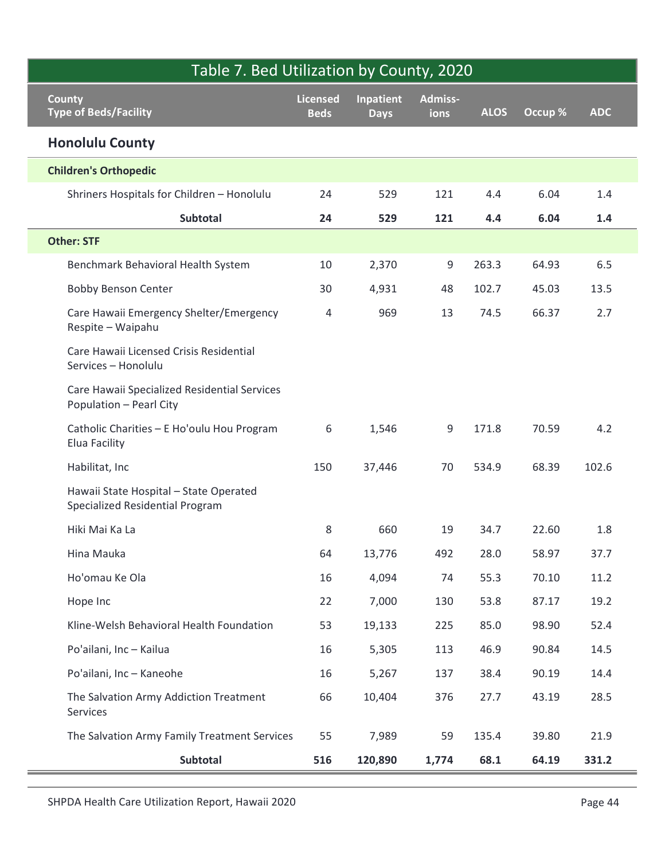| Table 7. Bed Utilization by County, 2020                                  |                                |                                 |                 |             |         |            |
|---------------------------------------------------------------------------|--------------------------------|---------------------------------|-----------------|-------------|---------|------------|
| <b>County</b><br><b>Type of Beds/Facility</b>                             | <b>Licensed</b><br><b>Beds</b> | <b>Inpatient</b><br><b>Days</b> | Admiss-<br>ions | <b>ALOS</b> | Occup % | <b>ADC</b> |
| <b>Honolulu County</b>                                                    |                                |                                 |                 |             |         |            |
| <b>Children's Orthopedic</b>                                              |                                |                                 |                 |             |         |            |
| Shriners Hospitals for Children - Honolulu                                | 24                             | 529                             | 121             | 4.4         | 6.04    | 1.4        |
| Subtotal                                                                  | 24                             | 529                             | 121             | 4.4         | 6.04    | 1.4        |
| <b>Other: STF</b>                                                         |                                |                                 |                 |             |         |            |
| Benchmark Behavioral Health System                                        | 10                             | 2,370                           | 9               | 263.3       | 64.93   | 6.5        |
| <b>Bobby Benson Center</b>                                                | 30                             | 4,931                           | 48              | 102.7       | 45.03   | 13.5       |
| Care Hawaii Emergency Shelter/Emergency<br>Respite - Waipahu              | 4                              | 969                             | 13              | 74.5        | 66.37   | 2.7        |
| Care Hawaii Licensed Crisis Residential<br>Services - Honolulu            |                                |                                 |                 |             |         |            |
| Care Hawaii Specialized Residential Services<br>Population - Pearl City   |                                |                                 |                 |             |         |            |
| Catholic Charities - E Ho'oulu Hou Program<br>Elua Facility               | 6                              | 1,546                           | 9               | 171.8       | 70.59   | 4.2        |
| Habilitat, Inc                                                            | 150                            | 37,446                          | 70              | 534.9       | 68.39   | 102.6      |
| Hawaii State Hospital - State Operated<br>Specialized Residential Program |                                |                                 |                 |             |         |            |
| Hiki Mai Ka La                                                            | 8                              | 660                             | 19              | 34.7        | 22.60   | 1.8        |
| Hina Mauka                                                                | 64                             | 13,776                          | 492             | 28.0        | 58.97   | 37.7       |
| Ho'omau Ke Ola                                                            | 16                             | 4,094                           | 74              | 55.3        | 70.10   | 11.2       |
| Hope Inc                                                                  | 22                             | 7,000                           | 130             | 53.8        | 87.17   | 19.2       |
| Kline-Welsh Behavioral Health Foundation                                  | 53                             | 19,133                          | 225             | 85.0        | 98.90   | 52.4       |
| Po'ailani, Inc - Kailua                                                   | 16                             | 5,305                           | 113             | 46.9        | 90.84   | 14.5       |
| Po'ailani, Inc - Kaneohe                                                  | 16                             | 5,267                           | 137             | 38.4        | 90.19   | 14.4       |
| The Salvation Army Addiction Treatment<br>Services                        | 66                             | 10,404                          | 376             | 27.7        | 43.19   | 28.5       |
| The Salvation Army Family Treatment Services                              | 55                             | 7,989                           | 59              | 135.4       | 39.80   | 21.9       |
| Subtotal                                                                  | 516                            | 120,890                         | 1,774           | 68.1        | 64.19   | 331.2      |

Ī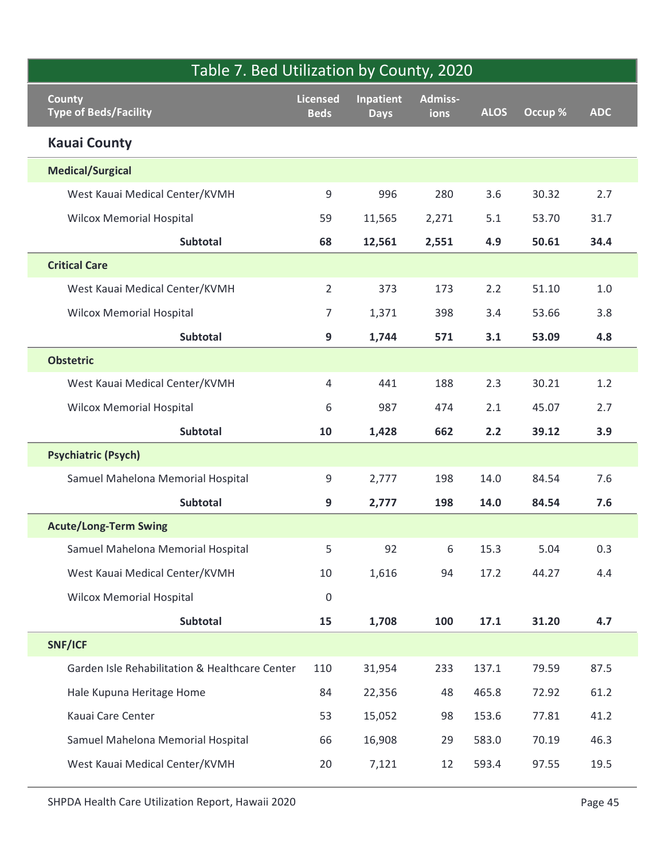| Table 7. Bed Utilization by County, 2020       |                                |                                 |                 |             |         |            |  |  |  |  |
|------------------------------------------------|--------------------------------|---------------------------------|-----------------|-------------|---------|------------|--|--|--|--|
| <b>County</b><br><b>Type of Beds/Facility</b>  | <b>Licensed</b><br><b>Beds</b> | <b>Inpatient</b><br><b>Days</b> | Admiss-<br>ions | <b>ALOS</b> | Occup % | <b>ADC</b> |  |  |  |  |
| <b>Kauai County</b>                            |                                |                                 |                 |             |         |            |  |  |  |  |
| <b>Medical/Surgical</b>                        |                                |                                 |                 |             |         |            |  |  |  |  |
| West Kauai Medical Center/KVMH                 | $\mathsf 9$                    | 996                             | 280             | 3.6         | 30.32   | 2.7        |  |  |  |  |
| <b>Wilcox Memorial Hospital</b>                | 59                             | 11,565                          | 2,271           | 5.1         | 53.70   | 31.7       |  |  |  |  |
| Subtotal                                       | 68                             | 12,561                          | 2,551           | 4.9         | 50.61   | 34.4       |  |  |  |  |
| <b>Critical Care</b>                           |                                |                                 |                 |             |         |            |  |  |  |  |
| West Kauai Medical Center/KVMH                 | $\overline{2}$                 | 373                             | 173             | 2.2         | 51.10   | $1.0\,$    |  |  |  |  |
| <b>Wilcox Memorial Hospital</b>                | $\overline{7}$                 | 1,371                           | 398             | 3.4         | 53.66   | 3.8        |  |  |  |  |
| Subtotal                                       | $\boldsymbol{9}$               | 1,744                           | 571             | 3.1         | 53.09   | 4.8        |  |  |  |  |
| <b>Obstetric</b>                               |                                |                                 |                 |             |         |            |  |  |  |  |
| West Kauai Medical Center/KVMH                 | 4                              | 441                             | 188             | 2.3         | 30.21   | 1.2        |  |  |  |  |
| <b>Wilcox Memorial Hospital</b>                | 6                              | 987                             | 474             | 2.1         | 45.07   | 2.7        |  |  |  |  |
| Subtotal                                       | 10                             | 1,428                           | 662             | 2.2         | 39.12   | 3.9        |  |  |  |  |
| <b>Psychiatric (Psych)</b>                     |                                |                                 |                 |             |         |            |  |  |  |  |
| Samuel Mahelona Memorial Hospital              | $\boldsymbol{9}$               | 2,777                           | 198             | 14.0        | 84.54   | 7.6        |  |  |  |  |
| Subtotal                                       | 9                              | 2,777                           | 198             | 14.0        | 84.54   | 7.6        |  |  |  |  |
| <b>Acute/Long-Term Swing</b>                   |                                |                                 |                 |             |         |            |  |  |  |  |
| Samuel Mahelona Memorial Hospital              | 5                              | 92                              | 6               | 15.3        | 5.04    | 0.3        |  |  |  |  |
| West Kauai Medical Center/KVMH                 | 10                             | 1,616                           | 94              | 17.2        | 44.27   | 4.4        |  |  |  |  |
| <b>Wilcox Memorial Hospital</b>                | $\pmb{0}$                      |                                 |                 |             |         |            |  |  |  |  |
| Subtotal                                       | 15                             | 1,708                           | 100             | 17.1        | 31.20   | 4.7        |  |  |  |  |
| SNF/ICF                                        |                                |                                 |                 |             |         |            |  |  |  |  |
| Garden Isle Rehabilitation & Healthcare Center | 110                            | 31,954                          | 233             | 137.1       | 79.59   | 87.5       |  |  |  |  |
| Hale Kupuna Heritage Home                      | 84                             | 22,356                          | 48              | 465.8       | 72.92   | 61.2       |  |  |  |  |
| Kauai Care Center                              | 53                             | 15,052                          | 98              | 153.6       | 77.81   | 41.2       |  |  |  |  |
| Samuel Mahelona Memorial Hospital              | 66                             | 16,908                          | 29              | 583.0       | 70.19   | 46.3       |  |  |  |  |
| West Kauai Medical Center/KVMH                 | 20                             | 7,121                           | 12              | 593.4       | 97.55   | 19.5       |  |  |  |  |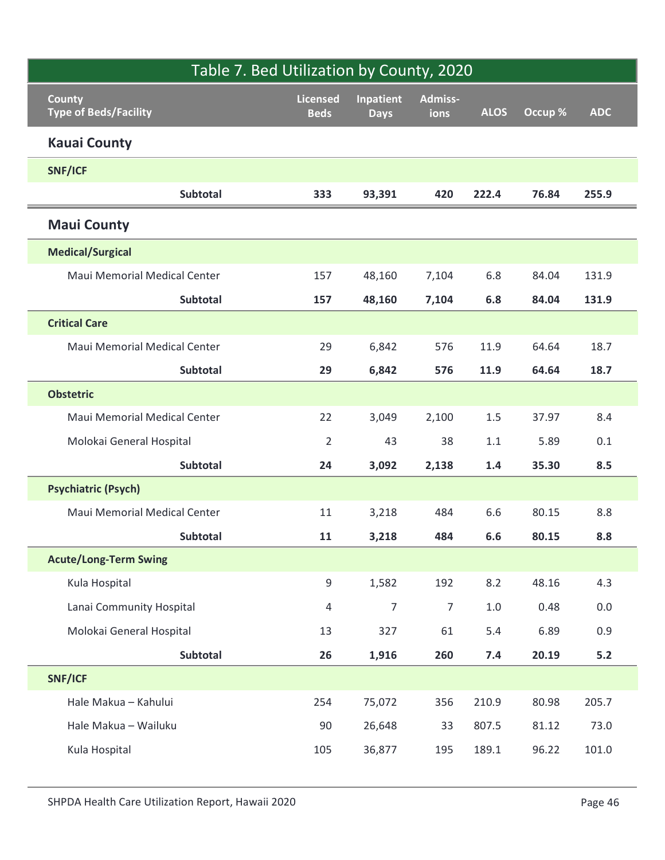|                                                   |                                | Table 7. Bed Utilization by County, 2020 |                       |                |         |                |  |  |
|---------------------------------------------------|--------------------------------|------------------------------------------|-----------------------|----------------|---------|----------------|--|--|
| <b>County</b><br><b>Type of Beds/Facility</b>     | <b>Licensed</b><br><b>Beds</b> | <b>Inpatient</b><br><b>Days</b>          | Admiss-<br>ions       | <b>ALOS</b>    | Occup % | <b>ADC</b>     |  |  |
| <b>Kauai County</b>                               |                                |                                          |                       |                |         |                |  |  |
| SNF/ICF                                           |                                |                                          |                       |                |         |                |  |  |
| Subtotal                                          | 333                            | 93,391                                   | 420                   | 222.4          | 76.84   | 255.9          |  |  |
| <b>Maui County</b>                                |                                |                                          |                       |                |         |                |  |  |
| <b>Medical/Surgical</b>                           |                                |                                          |                       |                |         |                |  |  |
| Maui Memorial Medical Center                      | 157                            | 48,160                                   | 7,104                 | 6.8            | 84.04   | 131.9          |  |  |
| Subtotal                                          | 157                            | 48,160                                   | 7,104                 | 6.8            | 84.04   | 131.9          |  |  |
| <b>Critical Care</b>                              |                                |                                          |                       |                |         |                |  |  |
| Maui Memorial Medical Center                      | 29                             | 6,842                                    | 576                   | 11.9           | 64.64   | 18.7           |  |  |
| Subtotal                                          | 29                             | 6,842                                    | 576                   | 11.9           | 64.64   | 18.7           |  |  |
| <b>Obstetric</b>                                  |                                |                                          |                       |                |         |                |  |  |
| Maui Memorial Medical Center                      | 22                             | 3,049                                    | 2,100                 | $1.5\,$        | 37.97   | 8.4            |  |  |
| Molokai General Hospital                          | $\overline{2}$                 | 43                                       | 38                    | $1.1\,$        | 5.89    | $0.1\,$        |  |  |
| Subtotal                                          | 24                             | 3,092                                    | 2,138                 | 1.4            | 35.30   | 8.5            |  |  |
| <b>Psychiatric (Psych)</b>                        |                                |                                          |                       |                |         |                |  |  |
| Maui Memorial Medical Center                      | 11                             | 3,218                                    | 484                   | 6.6            | 80.15   | $8.8\,$        |  |  |
| Subtotal                                          | 11                             | 3,218                                    | 484                   | $6.6\,$        | 80.15   | 8.8            |  |  |
| <b>Acute/Long-Term Swing</b>                      |                                |                                          |                       |                | 48.16   |                |  |  |
| Kula Hospital<br>Lanai Community Hospital         | $9\,$<br>$\overline{4}$        | 1,582<br>$\overline{7}$                  | 192<br>$\overline{7}$ | 8.2<br>$1.0\,$ | 0.48    | 4.3<br>$0.0\,$ |  |  |
| Molokai General Hospital                          | 13                             | 327                                      | 61                    | 5.4            | 6.89    | $0.9\,$        |  |  |
| Subtotal                                          | 26                             | 1,916                                    | 260                   | 7.4            | 20.19   | $5.2$          |  |  |
| SNF/ICF                                           |                                |                                          |                       |                |         |                |  |  |
| Hale Makua - Kahului                              | 254                            | 75,072                                   | 356                   | 210.9          | 80.98   | 205.7          |  |  |
| Hale Makua - Wailuku                              | 90                             | 26,648                                   | 33                    | 807.5          | 81.12   | 73.0           |  |  |
| Kula Hospital                                     | 105                            | 36,877                                   | 195                   | 189.1          | 96.22   | 101.0          |  |  |
| SHPDA Health Care Utilization Report, Hawaii 2020 |                                |                                          |                       |                |         | Page 46        |  |  |